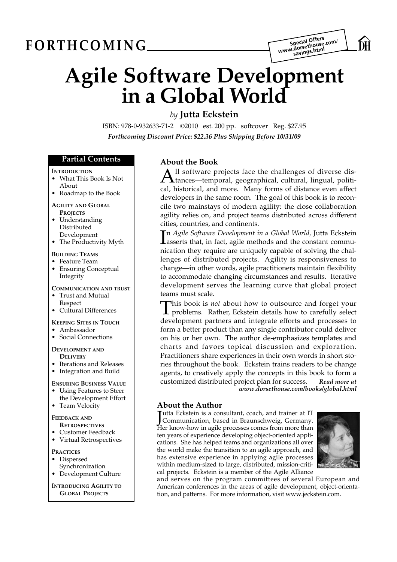# $FORMING$



# **Agile Software Development in a Global World**

# *by* **Jutta Eckstein**

ISBN: 978-0-932633-71-2 *©*2010 est. 200 pp. softcover Reg. \$27.95 *Forthcoming Discount Price: \$22.36 Plus Shipping Before 10/31/09*

## **Partial Contents**

#### **INTRODUCTION**

- What This Book Is Not
- About
- Roadmap to the Book

#### **AGILITY AND GLOBAL PROJECTS**

- Understanding Distributed Development
- The Productivity Myth

#### **BUILDING TEAMS**

- Feature Team
- **Ensuring Conceptual** Integrity

#### **COMMUNICATION AND TRUST**

- Trust and Mutual
- Respect
- Cultural Differences

#### **KEEPING SITES IN TOUCH**

- Ambassador
- Social Connections

#### **DEVELOPMENT AND DELIVERY**

- Iterations and Releases
- Integration and Build

#### **ENSURING BUSINESS VALUE**

- Using Features to Steer
- the Development Effort
- Team Velocity

# **FEEDBACK AND**

## **RETROSPECTIVES**

- Customer Feedback
- Virtual Retrospectives

#### **PRACTICES**

- Dispersed
- Synchronization
- Development Culture

#### **INTRODUCING AGILITY TO GLOBAL PROJECTS**

# **About the Book**

All software projects face the challenges of diverse dis-<br>tances—temporal, geographical, cultural, lingual, political, historical, and more. Many forms of distance even affect developers in the same room. The goal of this book is to reconcile two mainstays of modern agility: the close collaboration agility relies on, and project teams distributed across different cities, countries, and continents.

In Agile Software Development in a Global World, Jutta Eckstein<br>dasserts that, in fact, agile methods and the constant commun *Agile Software Development in a Global World,* Jutta Eckstein nication they require are uniquely capable of solving the challenges of distributed projects. Agility is responsiveness to change—in other words, agile practitioners maintain flexibility to accommodate changing circumstances and results. Iterative development serves the learning curve that global project teams must scale.

This book is *not* about how to outsource and forget your<br>problems. Rather, Eckstein details how to carefully select development partners and integrate efforts and processes to form a better product than any single contributor could deliver on his or her own. The author de-emphasizes templates and charts and favors topical discussion and exploration. Practitioners share experiences in their own words in short stories throughout the book. Eckstein trains readers to be change agents, to creatively apply the concepts in this book to form a customized distributed project plan for success. *Read more at www.dorsethouse.com/books/global.html*

# **About the Author**

Jutta Eckstein is a consultant, coach, and trainer at IT<br>Communication, based in Braunschweig, Germany. Communication, based in Braunschweig, Germany. Her know-how in agile processes comes from more than ten years of experience developing object-oriented applications. She has helped teams and organizations all over the world make the transition to an agile approach, and has extensive experience in applying agile processes within medium-sized to large, distributed, mission-critical projects. Eckstein is a member of the Agile Alliance



and serves on the program committees of several European and American conferences in the areas of agile development, object-orientation, and patterns. For more information, visit www.jeckstein.com.